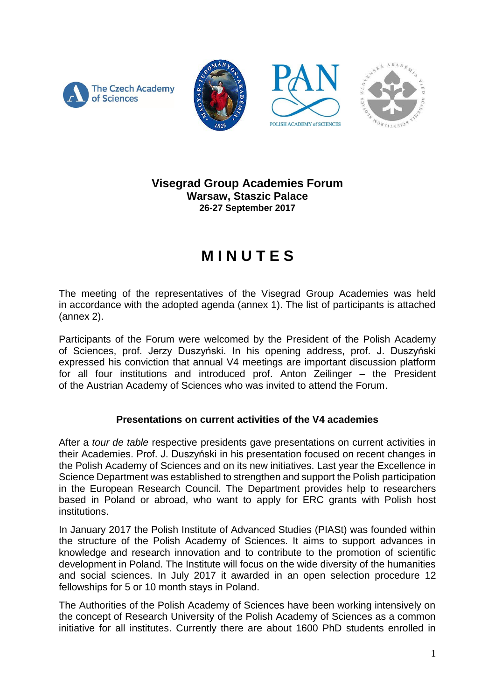



## **Visegrad Group Academies Forum Warsaw, Staszic Palace 26-27 September 2017**

# **M I N U T E S**

The meeting of the representatives of the Visegrad Group Academies was held in accordance with the adopted agenda (annex 1). The list of participants is attached (annex 2).

Participants of the Forum were welcomed by the President of the Polish Academy of Sciences, prof. Jerzy Duszyński. In his opening address, prof. J. Duszyński expressed his conviction that annual V4 meetings are important discussion platform for all four institutions and introduced prof. Anton Zeilinger – the President of the Austrian Academy of Sciences who was invited to attend the Forum.

## **Presentations on current activities of the V4 academies**

After a *tour de table* respective presidents gave presentations on current activities in their Academies. Prof. J. Duszyński in his presentation focused on recent changes in the Polish Academy of Sciences and on its new initiatives. Last year the Excellence in Science Department was established to strengthen and support the Polish participation in the European Research Council. The Department provides help to researchers based in Poland or abroad, who want to apply for ERC grants with Polish host institutions.

In January 2017 the Polish Institute of Advanced Studies (PIASt) was founded within the structure of the Polish Academy of Sciences. It aims to support advances in knowledge and research innovation and to contribute to the promotion of scientific development in Poland. The Institute will focus on the wide diversity of the humanities and social sciences. In July 2017 it awarded in an open selection procedure 12 fellowships for 5 or 10 month stays in Poland.

The Authorities of the Polish Academy of Sciences have been working intensively on the concept of Research University of the Polish Academy of Sciences as a common initiative for all institutes. Currently there are about 1600 PhD students enrolled in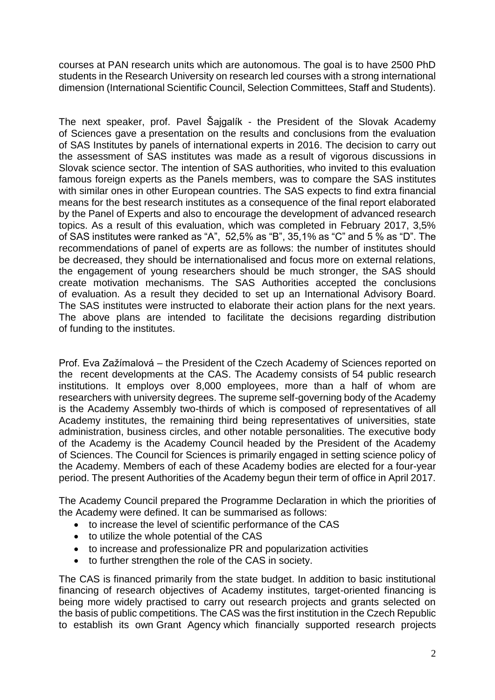courses at PAN research units which are autonomous. The goal is to have 2500 PhD students in the Research University on research led courses with a strong international dimension (International Scientific Council, Selection Committees, Staff and Students).

The next speaker, prof. Pavel Šajgalík - the President of the Slovak Academy of Sciences gave a presentation on the results and conclusions from the evaluation of SAS Institutes by panels of international experts in 2016. The decision to carry out the assessment of SAS institutes was made as a result of vigorous discussions in Slovak science sector. The intention of SAS authorities, who invited to this evaluation famous foreign experts as the Panels members, was to compare the SAS institutes with similar ones in other European countries. The SAS expects to find extra financial means for the best research institutes as a consequence of the final report elaborated by the Panel of Experts and also to encourage the development of advanced research topics. As a result of this evaluation, which was completed in February 2017, 3,5% of SAS institutes were ranked as "A", 52,5% as "B", 35,1% as "C" and 5 % as "D". The recommendations of panel of experts are as follows: the number of institutes should be decreased, they should be internationalised and focus more on external relations, the engagement of young researchers should be much stronger, the SAS should create motivation mechanisms. The SAS Authorities accepted the conclusions of evaluation. As a result they decided to set up an International Advisory Board. The SAS institutes were instructed to elaborate their action plans for the next years. The above plans are intended to facilitate the decisions regarding distribution of funding to the institutes.

Prof. Eva Zažímalová – the President of the Czech Academy of Sciences reported on the recent developments at the CAS. The Academy consists of [54 public research](http://www.avcr.cz/en/about-us/cas-structure/research-institutes/)  [institutions.](http://www.avcr.cz/en/about-us/cas-structure/research-institutes/) It employs over 8,000 employees, more than a half of whom are researchers with university degrees. The supreme self-governing body of the Academy is the Academy Assembly two-thirds of which is composed of representatives of all Academy institutes, the remaining third being representatives of universities, state administration, business circles, and other notable personalities. The executive body of the Academy is the Academy Council headed by the President of the Academy of Sciences. The Council for Sciences is primarily engaged in setting science policy of the Academy. Members of each of these Academy bodies are elected for a four-year period. The present Authorities of the Academy begun their term of office in April 2017.

The Academy Council prepared the Programme Declaration in which the priorities of the Academy were defined. It can be summarised as follows:

- to increase the level of scientific performance of the CAS
- to utilize the whole potential of the CAS
- to increase and professionalize PR and popularization activities
- to further strengthen the role of the CAS in society.

The CAS is financed primarily from the state budget. In addition to basic institutional financing of research objectives of Academy institutes, target-oriented financing is being more widely practised to carry out research projects and grants selected on the basis of public competitions. The CAS was the first institution in the Czech Republic to establish its own Grant Agency which financially supported research projects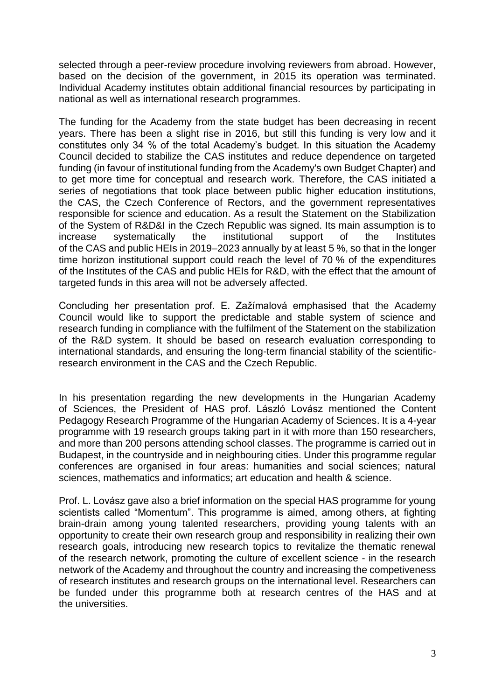selected through a peer-review procedure involving reviewers from abroad. However, based on the decision of the government, in 2015 its operation was terminated. Individual Academy institutes obtain additional financial resources by participating in national as well as international research programmes.

The funding for the Academy from the state budget has been decreasing in recent years. There has been a slight rise in 2016, but still this funding is very low and it constitutes only 34 % of the total Academy's budget. In this situation the Academy Council decided to stabilize the CAS institutes and reduce dependence on targeted funding (in favour of institutional funding from the Academy's own Budget Chapter) and to get more time for conceptual and research work. Therefore, the CAS initiated a series of negotiations that took place between public higher education institutions, the CAS, the Czech Conference of Rectors, and the government representatives responsible for science and education. As a result the Statement on the Stabilization of the System of R&D&I in the Czech Republic was signed. Its main assumption is to increase systematically the institutional support of the Institutes of the CAS and public HEIs in 2019–2023 annually by at least 5 %, so that in the longer time horizon institutional support could reach the level of 70 % of the expenditures of the Institutes of the CAS and public HEIs for R&D, with the effect that the amount of targeted funds in this area will not be adversely affected.

Concluding her presentation prof. E. Zažímalová emphasised that the Academy Council would like to support the predictable and stable system of science and research funding in compliance with the fulfilment of the Statement on the stabilization of the R&D system. It should be based on research evaluation corresponding to international standards, and ensuring the long-term financial stability of the scientificresearch environment in the CAS and the Czech Republic.

In his presentation regarding the new developments in the Hungarian Academy of Sciences, the President of HAS prof. László Lovász mentioned the Content Pedagogy Research Programme of the Hungarian Academy of Sciences. It is a 4-year programme with 19 research groups taking part in it with more than 150 researchers, and more than 200 persons attending school classes. The programme is carried out in Budapest, in the countryside and in neighbouring cities. Under this programme regular conferences are organised in four areas: humanities and social sciences; natural sciences, mathematics and informatics; art education and health & science.

Prof. L. Lovász gave also a brief information on the special HAS programme for young scientists called "Momentum". This programme is aimed, among others, at fighting brain-drain among young talented researchers, providing young talents with an opportunity to create their own research group and responsibility in realizing their own research goals, introducing new research topics to revitalize the thematic renewal of the research network, promoting the culture of excellent science - in the research network of the Academy and throughout the country and increasing the competiveness of research institutes and research groups on the international level. Researchers can be funded under this programme both at research centres of the HAS and at the universities.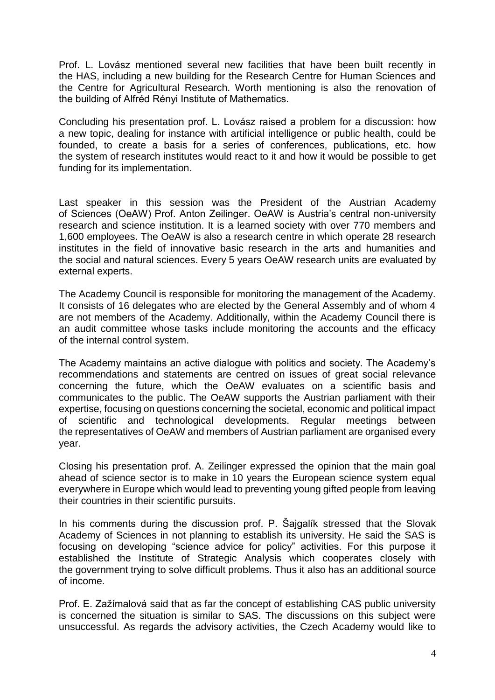Prof. L. Lovász mentioned several new facilities that have been built recently in the HAS, including a new building for the Research Centre for Human Sciences and the Centre for Agricultural Research. Worth mentioning is also the renovation of the building of Alfréd Rényi Institute of Mathematics.

Concluding his presentation prof. L. Lovász raised a problem for a discussion: how a new topic, dealing for instance with artificial intelligence or public health, could be founded, to create a basis for a series of conferences, publications, etc. how the system of research institutes would react to it and how it would be possible to get funding for its implementation.

Last speaker in this session was the President of the Austrian Academy of Sciences (OeAW) Prof. Anton Zeilinger. OeAW is Austria's central non-university research and science institution. It is a learned society with over 770 members and 1,600 employees. The OeAW is also a research centre in which operate 28 research institutes in the field of innovative basic research in the arts and humanities and the social and natural sciences. Every 5 years OeAW research units are evaluated by external experts.

The Academy Council is responsible for monitoring the management of the Academy. It consists of 16 delegates who are elected by the General Assembly and of whom 4 are not members of the Academy. Additionally, within the Academy Council there is an audit committee whose tasks include monitoring the accounts and the efficacy of the internal control system.

The Academy maintains an active dialogue with politics and society. The Academy's recommendations and statements are centred on issues of great social relevance concerning the future, which the OeAW evaluates on a scientific basis and communicates to the public. The OeAW supports the Austrian parliament with their expertise, focusing on questions concerning the societal, economic and political impact of scientific and technological developments. Regular meetings between the representatives of OeAW and members of Austrian parliament are organised every year.

Closing his presentation prof. A. Zeilinger expressed the opinion that the main goal ahead of science sector is to make in 10 years the European science system equal everywhere in Europe which would lead to preventing young gifted people from leaving their countries in their scientific pursuits.

In his comments during the discussion prof. P. Šajgalík stressed that the Slovak Academy of Sciences in not planning to establish its university. He said the SAS is focusing on developing "science advice for policy" activities. For this purpose it established the Institute of Strategic Analysis which cooperates closely with the government trying to solve difficult problems. Thus it also has an additional source of income.

Prof. E. Zažímalová said that as far the concept of establishing CAS public university is concerned the situation is similar to SAS. The discussions on this subject were unsuccessful. As regards the advisory activities, the Czech Academy would like to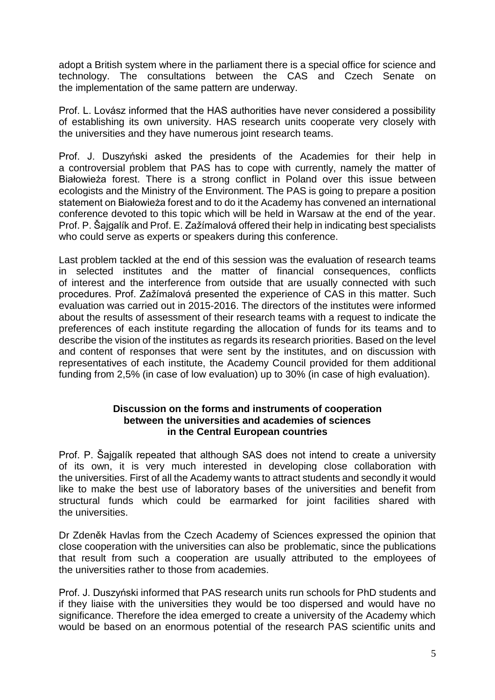adopt a British system where in the parliament there is a special office for science and technology. The consultations between the CAS and Czech Senate on the implementation of the same pattern are underway.

Prof. L. Lovász informed that the HAS authorities have never considered a possibility of establishing its own university. HAS research units cooperate very closely with the universities and they have numerous joint research teams.

Prof. J. Duszyński asked the presidents of the Academies for their help in a controversial problem that PAS has to cope with currently, namely the matter of Białowieża forest. There is a strong conflict in Poland over this issue between ecologists and the Ministry of the Environment. The PAS is going to prepare a position statement on Białowieża forest and to do it the Academy has convened an international conference devoted to this topic which will be held in Warsaw at the end of the year. Prof. P. Šajgalík and Prof. E. Zažímalová offered their help in indicating best specialists who could serve as experts or speakers during this conference.

Last problem tackled at the end of this session was the evaluation of research teams in selected institutes and the matter of financial consequences, conflicts of interest and the interference from outside that are usually connected with such procedures. Prof. Zažímalová presented the experience of CAS in this matter. Such evaluation was carried out in 2015-2016. The directors of the institutes were informed about the results of assessment of their research teams with a request to indicate the preferences of each institute regarding the allocation of funds for its teams and to describe the vision of the institutes as regards its research priorities. Based on the level and content of responses that were sent by the institutes, and on discussion with representatives of each institute, the Academy Council provided for them additional funding from 2,5% (in case of low evaluation) up to 30% (in case of high evaluation).

#### **Discussion on the forms and instruments of cooperation between the universities and academies of sciences in the Central European countries**

Prof. P. Šajgalík repeated that although SAS does not intend to create a university of its own, it is very much interested in developing close collaboration with the universities. First of all the Academy wants to attract students and secondly it would like to make the best use of laboratory bases of the universities and benefit from structural funds which could be earmarked for joint facilities shared with the universities.

Dr Zdeněk Havlas from the Czech Academy of Sciences expressed the opinion that close cooperation with the universities can also be problematic, since the publications that result from such a cooperation are usually attributed to the employees of the universities rather to those from academies.

Prof. J. Duszyński informed that PAS research units run schools for PhD students and if they liaise with the universities they would be too dispersed and would have no significance. Therefore the idea emerged to create a university of the Academy which would be based on an enormous potential of the research PAS scientific units and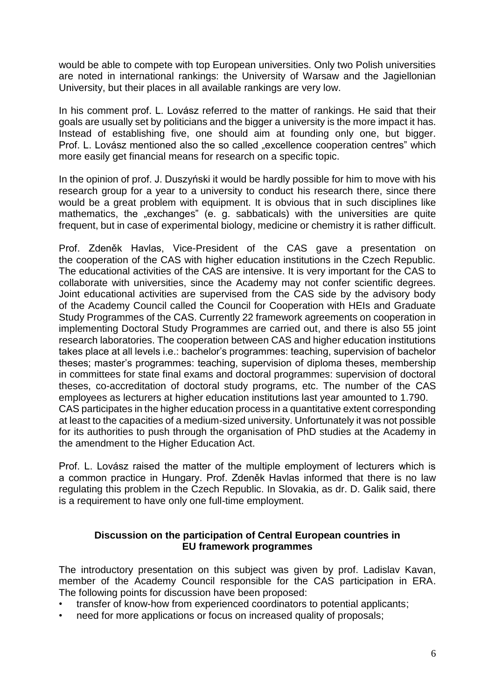would be able to compete with top European universities. Only two Polish universities are noted in international rankings: the University of Warsaw and the Jagiellonian University, but their places in all available rankings are very low.

In his comment prof. L. Lovász referred to the matter of rankings. He said that their goals are usually set by politicians and the bigger a university is the more impact it has. Instead of establishing five, one should aim at founding only one, but bigger. Prof. L. Lovász mentioned also the so called "excellence cooperation centres" which more easily get financial means for research on a specific topic.

In the opinion of prof. J. Duszyński it would be hardly possible for him to move with his research group for a year to a university to conduct his research there, since there would be a great problem with equipment. It is obvious that in such disciplines like mathematics, the "exchanges" (e. g. sabbaticals) with the universities are quite frequent, but in case of experimental biology, medicine or chemistry it is rather difficult.

Prof. Zdeněk Havlas, Vice-President of the CAS gave a presentation on the cooperation of the CAS with higher education institutions in the Czech Republic. The educational activities of the CAS are intensive. It is very important for the CAS to collaborate with universities, since the Academy may not confer scientific degrees. Joint educational activities are supervised from the CAS side by the advisory body of the Academy Council called the Council for Cooperation with HEIs and Graduate Study Programmes of the CAS. Currently 22 framework agreements on cooperation in implementing Doctoral Study Programmes are carried out, and there is also 55 joint research laboratories. The cooperation between CAS and higher education institutions takes place at all levels i.e.: bachelor's programmes: teaching, supervision of bachelor theses; master's programmes: teaching, supervision of diploma theses, membership in committees for state final exams and doctoral programmes: supervision of doctoral theses, co-accreditation of doctoral study programs, etc. The number of the CAS employees as lecturers at higher education institutions last year amounted to 1.790. CAS participates in the higher education process in a quantitative extent corresponding at least to the capacities of a medium-sized university. Unfortunately it was not possible for its authorities to push through the organisation of PhD studies at the Academy in the amendment to the Higher Education Act.

Prof. L. Lovász raised the matter of the multiple employment of lecturers which is a common practice in Hungary. Prof. Zdeněk Havlas informed that there is no law regulating this problem in the Czech Republic. In Slovakia, as dr. D. Galik said, there is a requirement to have only one full-time employment.

### **Discussion on the participation of Central European countries in EU framework programmes**

The introductory presentation on this subject was given by prof. Ladislav Kavan, member of the Academy Council responsible for the CAS participation in ERA. The following points for discussion have been proposed:

- transfer of know-how from experienced coordinators to potential applicants;
- need for more applications or focus on increased quality of proposals;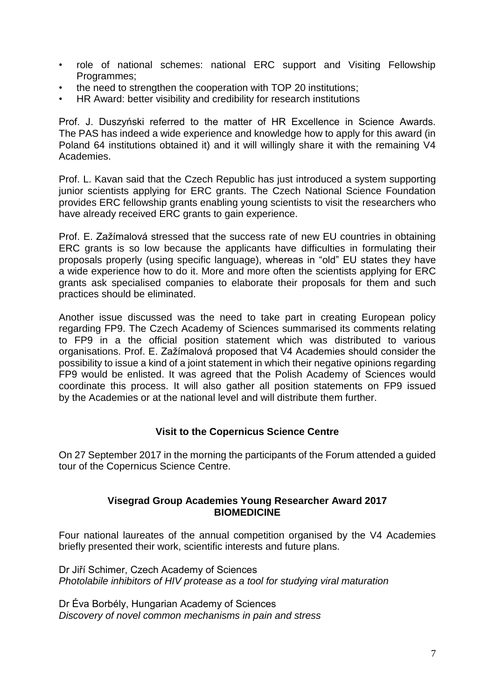- role of national schemes: national ERC support and Visiting Fellowship Programmes;
- the need to strengthen the cooperation with TOP 20 institutions;
- HR Award: better visibility and credibility for research institutions

Prof. J. Duszyński referred to the matter of HR Excellence in Science Awards. The PAS has indeed a wide experience and knowledge how to apply for this award (in Poland 64 institutions obtained it) and it will willingly share it with the remaining V4 Academies.

Prof. L. Kavan said that the Czech Republic has just introduced a system supporting junior scientists applying for ERC grants. The Czech National Science Foundation provides ERC fellowship grants enabling young scientists to visit the researchers who have already received ERC grants to gain experience.

Prof. E. Zažímalová stressed that the success rate of new EU countries in obtaining ERC grants is so low because the applicants have difficulties in formulating their proposals properly (using specific language), whereas in "old" EU states they have a wide experience how to do it. More and more often the scientists applying for ERC grants ask specialised companies to elaborate their proposals for them and such practices should be eliminated.

Another issue discussed was the need to take part in creating European policy regarding FP9. The Czech Academy of Sciences summarised its comments relating to FP9 in a the official position statement which was distributed to various organisations. Prof. E. Zažímalová proposed that V4 Academies should consider the possibility to issue a kind of a joint statement in which their negative opinions regarding FP9 would be enlisted. It was agreed that the Polish Academy of Sciences would coordinate this process. It will also gather all position statements on FP9 issued by the Academies or at the national level and will distribute them further.

#### **Visit to the Copernicus Science Centre**

On 27 September 2017 in the morning the participants of the Forum attended a guided tour of the Copernicus Science Centre.

#### **Visegrad Group Academies Young Researcher Award 2017 BIOMEDICINE**

Four national laureates of the annual competition organised by the V4 Academies briefly presented their work, scientific interests and future plans.

Dr Jiří Schimer, Czech Academy of Sciences *Photolabile inhibitors of HIV protease as a tool for studying viral maturation*

Dr Éva Borbély, Hungarian Academy of Sciences *Discovery of novel common mechanisms in pain and stress*